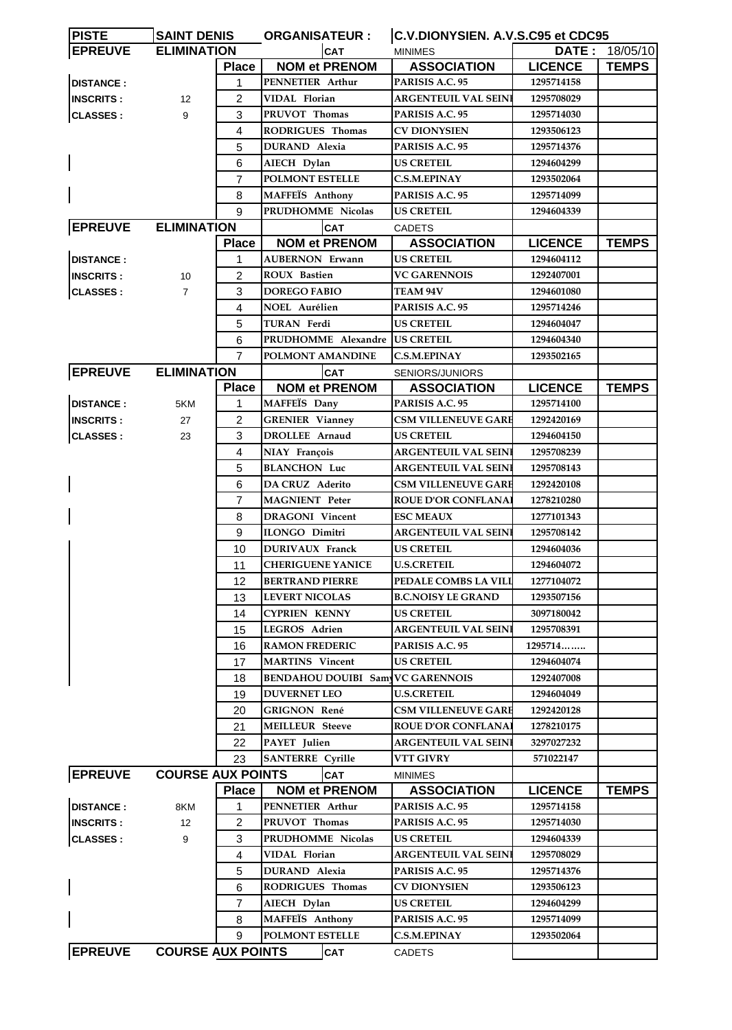| <b>PISTE</b>     | <b>SAINT DENIS</b>       |                | <b>ORGANISATEUR:</b>                    | C.V.DIONYSIEN. A.V.S.C95 et CDC95 |                |              |
|------------------|--------------------------|----------------|-----------------------------------------|-----------------------------------|----------------|--------------|
| <b>EPREUVE</b>   | <b>ELIMINATION</b>       |                | <b>CAT</b>                              | <b>MINIMES</b>                    | <b>DATE :</b>  | 18/05/10     |
|                  |                          | <b>Place</b>   | <b>NOM et PRENOM</b>                    | <b>ASSOCIATION</b>                | <b>LICENCE</b> | <b>TEMPS</b> |
| <b>DISTANCE:</b> |                          | 1              | PENNETIER Arthur                        | PARISIS A.C. 95                   | 1295714158     |              |
| <b>INSCRITS:</b> | 12                       | 2              | VIDAL Florian                           | ARGENTEUIL VAL SEINI              | 1295708029     |              |
| <b>CLASSES:</b>  | 9                        | 3              | PRUVOT Thomas                           | PARISIS A.C. 95                   | 1295714030     |              |
|                  |                          | 4              | RODRIGUES Thomas                        | CV DIONYSIEN                      | 1293506123     |              |
|                  |                          | 5              | DURAND Alexia                           | PARISIS A.C. 95                   | 1295714376     |              |
|                  |                          | 6              | AIECH Dylan                             | <b>US CRETEIL</b>                 | 1294604299     |              |
|                  |                          | $\overline{7}$ | POLMONT ESTELLE                         | <b>C.S.M.EPINAY</b>               | 1293502064     |              |
|                  |                          | 8              | MAFFEÏS Anthony                         | PARISIS A.C. 95                   | 1295714099     |              |
|                  |                          | 9              | PRUDHOMME Nicolas                       | <b>US CRETEIL</b>                 | 1294604339     |              |
| <b>EPREUVE</b>   | <b>ELIMINATION</b>       |                | <b>CAT</b>                              | <b>CADETS</b>                     |                |              |
|                  |                          | <b>Place</b>   | <b>NOM et PRENOM</b>                    | <b>ASSOCIATION</b>                | <b>LICENCE</b> | <b>TEMPS</b> |
| <b>DISTANCE:</b> |                          | 1              | <b>AUBERNON Erwann</b>                  | US CRETEIL                        | 1294604112     |              |
| <b>INSCRITS:</b> |                          | 2              | <b>ROUX</b> Bastien                     | <b>VC GARENNOIS</b>               | 1292407001     |              |
|                  | 10                       | 3              | <b>DOREGO FABIO</b>                     | TEAM 94V                          | 1294601080     |              |
| <b>CLASSES:</b>  | $\overline{7}$           |                |                                         |                                   |                |              |
|                  |                          | 4              | NOEL Aurélien                           | PARISIS A.C. 95                   | 1295714246     |              |
|                  |                          | 5              | TURAN Ferdi                             | <b>US CRETEIL</b>                 | 1294604047     |              |
|                  |                          | 6              | PRUDHOMME Alexandre                     | <b>US CRETEIL</b>                 | 1294604340     |              |
|                  |                          | $\overline{7}$ | POLMONT AMANDINE                        | <b>C.S.M.EPINAY</b>               | 1293502165     |              |
| <b>EPREUVE</b>   | <b>ELIMINATION</b>       |                | <b>CAT</b>                              | SENIORS/JUNIORS                   |                |              |
|                  |                          | <b>Place</b>   | <b>NOM et PRENOM</b>                    | <b>ASSOCIATION</b>                | <b>LICENCE</b> | <b>TEMPS</b> |
| <b>DISTANCE:</b> | 5KM                      | 1              | MAFFEIS Dany                            | PARISIS A.C. 95                   | 1295714100     |              |
| <b>INSCRITS:</b> | 27                       | $\overline{2}$ | <b>GRENIER Vianney</b>                  | <b>CSM VILLENEUVE GARE</b>        | 1292420169     |              |
| <b>CLASSES:</b>  | 23                       | 3              | DROLLEE Arnaud                          | <b>US CRETEIL</b>                 | 1294604150     |              |
|                  |                          | 4              | NIAY François                           | <b>ARGENTEUIL VAL SEINI</b>       | 1295708239     |              |
|                  |                          | 5              | <b>BLANCHON Luc</b>                     | <b>ARGENTEUIL VAL SEIN</b>        | 1295708143     |              |
|                  |                          | 6              | DA CRUZ Aderito                         | <b>CSM VILLENEUVE GARE</b>        | 1292420108     |              |
|                  |                          | 7              | <b>MAGNIENT</b> Peter                   | <b>ROUE D'OR CONFLANA</b>         | 1278210280     |              |
|                  |                          | 8              | <b>DRAGONI</b> Vincent                  | <b>ESC MEAUX</b>                  | 1277101343     |              |
|                  |                          | 9              | <b>ILONGO Dimitri</b>                   | ARGENTEUIL VAL SEINI              | 1295708142     |              |
|                  |                          | 10             | <b>DURIVAUX Franck</b>                  | <b>US CRETEIL</b>                 | 1294604036     |              |
|                  |                          | 11             | <b>CHERIGUENE YANICE</b>                | <b>U.S.CRETEIL</b>                | 1294604072     |              |
|                  |                          | 12             | <b>BERTRAND PIERRE</b>                  | PEDALE COMBS LA VILI              | 1277104072     |              |
|                  |                          | 13             | <b>LEVERT NICOLAS</b>                   | <b>B.C.NOISY LE GRAND</b>         | 1293507156     |              |
|                  |                          | 14             | <b>CYPRIEN KENNY</b>                    | <b>US CRETEIL</b>                 | 3097180042     |              |
|                  |                          | 15             | LEGROS Adrien                           | ARGENTEUIL VAL SEIN               | 1295708391     |              |
|                  |                          | 16             | <b>RAMON FREDERIC</b>                   | PARISIS A.C. 95                   | 1295714        |              |
|                  |                          | 17             | <b>MARTINS</b> Vincent                  | <b>US CRETEIL</b>                 | 1294604074     |              |
|                  |                          | 18             | <b>BENDAHOU DOUIBI Sam VC GARENNOIS</b> |                                   | 1292407008     |              |
|                  |                          | 19             | <b>DUVERNET LEO</b>                     | <b>U.S.CRETEIL</b>                | 1294604049     |              |
|                  |                          | 20             | <b>GRIGNON René</b>                     | <b>CSM VILLENEUVE GARE</b>        | 1292420128     |              |
|                  |                          | 21             | <b>MEILLEUR Steeve</b>                  | <b>ROUE D'OR CONFLANA</b>         | 1278210175     |              |
|                  |                          | 22             | PAYET Julien                            | ARGENTEUIL VAL SEINI              | 3297027232     |              |
|                  |                          |                |                                         |                                   |                |              |
| <b>EPREUVE</b>   | <b>COURSE AUX POINTS</b> | 23             | <b>SANTERRE</b> Cyrille                 | VTT GIVRY                         | 571022147      |              |
|                  |                          |                | <b>CAT</b>                              | <b>MINIMES</b>                    |                |              |
|                  |                          | <b>Place</b>   | <b>NOM et PRENOM</b>                    | <b>ASSOCIATION</b>                | <b>LICENCE</b> | <b>TEMPS</b> |
| <b>DISTANCE:</b> | 8KM                      | 1              | PENNETIER Arthur                        | PARISIS A.C. 95                   | 1295714158     |              |
| <b>INSCRITS:</b> | $12 \overline{ }$        | 2              | PRUVOT Thomas                           | PARISIS A.C. 95                   | 1295714030     |              |
| <b>CLASSES:</b>  | 9                        | 3              | PRUDHOMME Nicolas                       | US CRETEIL                        | 1294604339     |              |
|                  |                          | 4              | VIDAL Florian                           | ARGENTEUIL VAL SEINI              | 1295708029     |              |
|                  |                          | 5              | <b>DURAND</b> Alexia                    | PARISIS A.C. 95                   | 1295714376     |              |
|                  |                          | 6              | RODRIGUES Thomas                        | CV DIONYSIEN                      | 1293506123     |              |
|                  |                          | 7              | AIECH Dylan                             | US CRETEIL                        | 1294604299     |              |
|                  |                          | 8              | MAFFEÏS Anthony                         | PARISIS A.C. 95                   | 1295714099     |              |
|                  |                          | 9              | POLMONT ESTELLE                         | <b>C.S.M.EPINAY</b>               | 1293502064     |              |
| <b>EPREUVE</b>   | <b>COURSE AUX POINTS</b> |                | <b>CAT</b>                              | <b>CADETS</b>                     |                |              |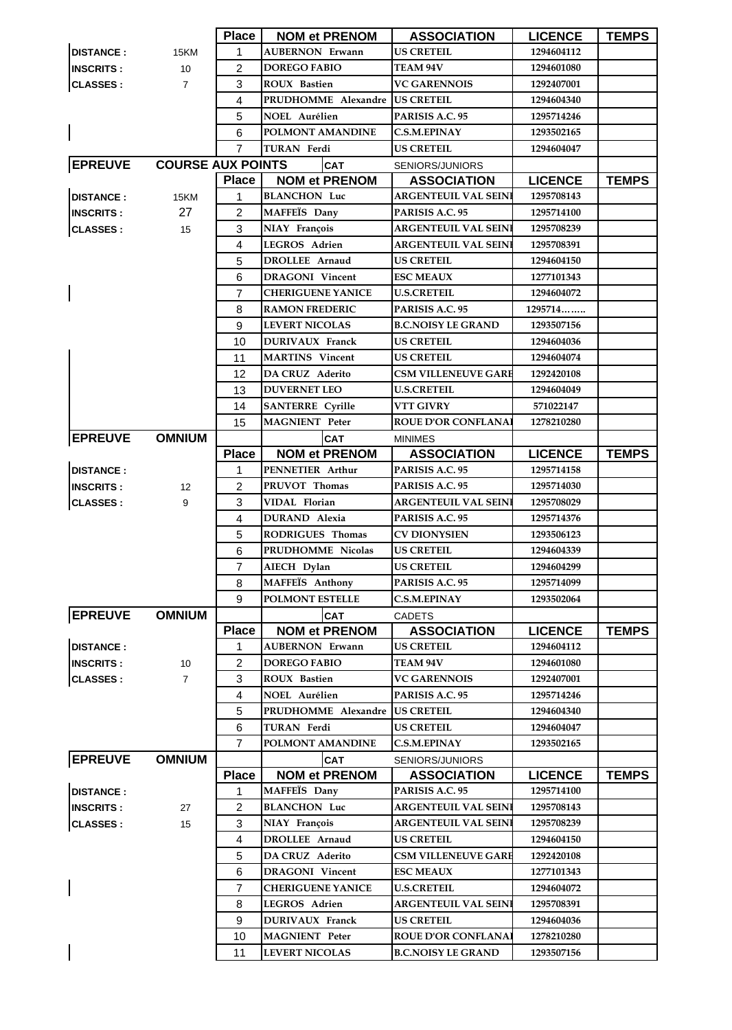|                  |                          | <b>Place</b>   | <b>NOM et PRENOM</b>     | <b>ASSOCIATION</b>          | <b>LICENCE</b> | <b>IEMPS</b> |
|------------------|--------------------------|----------------|--------------------------|-----------------------------|----------------|--------------|
| <b>DISTANCE:</b> | 15KM                     | 1              | <b>AUBERNON Erwann</b>   | <b>US CRETEIL</b>           | 1294604112     |              |
| <b>INSCRITS:</b> | 10                       | $\overline{2}$ | <b>DOREGO FABIO</b>      | <b>TEAM 94V</b>             | 1294601080     |              |
| <b>CLASSES:</b>  | $\overline{7}$           | 3              | <b>ROUX</b> Bastien      | <b>VC GARENNOIS</b>         | 1292407001     |              |
|                  |                          | 4              | PRUDHOMME Alexandre      | <b>US CRETEIL</b>           | 1294604340     |              |
|                  |                          | 5              | <b>NOEL Aurélien</b>     | PARISIS A.C. 95             | 1295714246     |              |
|                  |                          | 6              | POLMONT AMANDINE         | <b>C.S.M.EPINAY</b>         | 1293502165     |              |
|                  |                          | $\overline{7}$ | <b>TURAN</b> Ferdi       | <b>US CRETEIL</b>           | 1294604047     |              |
| <b>EPREUVE</b>   | <b>COURSE AUX POINTS</b> |                | CAT                      | SENIORS/JUNIORS             |                |              |
|                  |                          | <b>Place</b>   | <b>NOM et PRENOM</b>     | <b>ASSOCIATION</b>          | <b>LICENCE</b> | <b>TEMPS</b> |
| <b>DISTANCE:</b> | 15KM                     | 1              | <b>BLANCHON Luc</b>      | ARGENTEUIL VAL SEINI        | 1295708143     |              |
| <b>INSCRITS:</b> | 27                       | 2              | MAFFEÏS Dany             | PARISIS A.C. 95             | 1295714100     |              |
| <b>CLASSES:</b>  | 15                       | 3              | NIAY François            | <b>ARGENTEUIL VAL SEINI</b> | 1295708239     |              |
|                  |                          | 4              | LEGROS Adrien            | <b>ARGENTEUIL VAL SEINI</b> | 1295708391     |              |
|                  |                          | 5              | DROLLEE Arnaud           | <b>US CRETEIL</b>           | 1294604150     |              |
|                  |                          | 6              | <b>DRAGONI</b> Vincent   | <b>ESC MEAUX</b>            | 1277101343     |              |
|                  |                          | 7              | <b>CHERIGUENE YANICE</b> | <b>U.S.CRETEIL</b>          | 1294604072     |              |
|                  |                          | 8              | <b>RAMON FREDERIC</b>    | PARISIS A.C. 95             | 1295714        |              |
|                  |                          | 9              | <b>LEVERT NICOLAS</b>    | <b>B.C.NOISY LE GRAND</b>   | 1293507156     |              |
|                  |                          | 10             | <b>DURIVAUX Franck</b>   | <b>US CRETEIL</b>           | 1294604036     |              |
|                  |                          | 11             | <b>MARTINS</b> Vincent   | <b>US CRETEIL</b>           | 1294604074     |              |
|                  |                          | 12             | DA CRUZ Aderito          | <b>CSM VILLENEUVE GARE</b>  | 1292420108     |              |
|                  |                          | 13             | <b>DUVERNET LEO</b>      | <b>U.S.CRETEIL</b>          | 1294604049     |              |
|                  |                          | 14             | <b>SANTERRE Cyrille</b>  | VTT GIVRY                   | 571022147      |              |
|                  |                          | 15             | <b>MAGNIENT</b> Peter    | <b>ROUE D'OR CONFLANA</b>   | 1278210280     |              |
| <b>EPREUVE</b>   | <b>OMNIUM</b>            |                | CAT                      | <b>MINIMES</b>              |                |              |
|                  |                          | <b>Place</b>   | <b>NOM et PRENOM</b>     | <b>ASSOCIATION</b>          | <b>LICENCE</b> | <b>TEMPS</b> |
| <b>DISTANCE:</b> |                          | 1              | PENNETIER Arthur         | PARISIS A.C. 95             | 1295714158     |              |
| <b>INSCRITS:</b> | $12 \overline{ }$        | $\overline{2}$ | PRUVOT Thomas            | PARISIS A.C. 95             | 1295714030     |              |
| <b>CLASSES:</b>  | 9                        | 3              | VIDAL Florian            | <b>ARGENTEUIL VAL SEINI</b> | 1295708029     |              |
|                  |                          | 4              | <b>DURAND</b> Alexia     | PARISIS A.C. 95             | 1295714376     |              |
|                  |                          | 5              | <b>RODRIGUES Thomas</b>  | <b>CV DIONYSIEN</b>         | 1293506123     |              |
|                  |                          | 6              | PRUDHOMME Nicolas        | <b>US CRETEIL</b>           | 1294604339     |              |
|                  |                          | $\overline{7}$ | AIECH Dylan              | <b>US CRETEIL</b>           | 1294604299     |              |
|                  |                          | 8              | <b>MAFFEÏS</b> Anthony   | PARISIS A.C. 95             | 1295714099     |              |
|                  |                          | 9              | <b>POLMONT ESTELLE</b>   | <b>C.S.M.EPINAY</b>         | 1293502064     |              |
| <b>EPREUVE</b>   | <b>OMNIUM</b>            |                | <b>CAT</b>               | <b>CADETS</b>               |                |              |
|                  |                          | <b>Place</b>   | <b>NOM et PRENOM</b>     | <b>ASSOCIATION</b>          | <b>LICENCE</b> | <b>TEMPS</b> |
| <b>DISTANCE:</b> |                          | 1              | <b>AUBERNON Erwann</b>   | <b>US CRETEIL</b>           | 1294604112     |              |
| <b>INSCRITS:</b> | 10                       | $\overline{2}$ | <b>DOREGO FABIO</b>      | <b>TEAM 94V</b>             | 1294601080     |              |
| <b>CLASSES:</b>  | $\overline{7}$           | 3              | ROUX Bastien             | <b>VC GARENNOIS</b>         | 1292407001     |              |
|                  |                          | 4              | <b>NOEL Aurélien</b>     | PARISIS A.C. 95             | 1295714246     |              |
|                  |                          | 5              | PRUDHOMME Alexandre      | <b>US CRETEIL</b>           | 1294604340     |              |
|                  |                          | 6              | <b>TURAN Ferdi</b>       | <b>US CRETEIL</b>           | 1294604047     |              |
|                  |                          | 7              | POLMONT AMANDINE         | <b>C.S.M.EPINAY</b>         | 1293502165     |              |
| <b>EPREUVE</b>   | <b>OMNIUM</b>            |                | <b>CAT</b>               | SENIORS/JUNIORS             |                |              |
|                  |                          | <b>Place</b>   | <b>NOM et PRENOM</b>     | <b>ASSOCIATION</b>          | <b>LICENCE</b> | <b>TEMPS</b> |
| <b>DISTANCE:</b> |                          | 1              | MAFFEIS Dany             | <b>PARISIS A.C. 95</b>      | 1295714100     |              |
| <b>INSCRITS:</b> | 27                       | 2              | <b>BLANCHON Luc</b>      | <b>ARGENTEUIL VAL SEINI</b> | 1295708143     |              |
| <b>CLASSES:</b>  | 15                       | 3              | NIAY François            | <b>ARGENTEUIL VAL SEINI</b> | 1295708239     |              |
|                  |                          | 4              | <b>DROLLEE Arnaud</b>    | <b>US CRETEIL</b>           | 1294604150     |              |
|                  |                          | 5              | DA CRUZ Aderito          | <b>CSM VILLENEUVE GARE</b>  | 1292420108     |              |
|                  |                          | 6              | <b>DRAGONI</b> Vincent   | <b>ESC MEAUX</b>            | 1277101343     |              |
|                  |                          | 7              | <b>CHERIGUENE YANICE</b> | <b>U.S.CRETEIL</b>          | 1294604072     |              |
|                  |                          | 8              | LEGROS Adrien            | <b>ARGENTEUIL VAL SEIN</b>  | 1295708391     |              |
|                  |                          | 9              | DURIVAUX Franck          | <b>US CRETEIL</b>           | 1294604036     |              |
|                  |                          | 10             | <b>MAGNIENT</b> Peter    | <b>ROUE D'OR CONFLANA</b>   | 1278210280     |              |
|                  |                          | 11             | <b>LEVERT NICOLAS</b>    | <b>B.C.NOISY LE GRAND</b>   | 1293507156     |              |
|                  |                          |                |                          |                             |                |              |